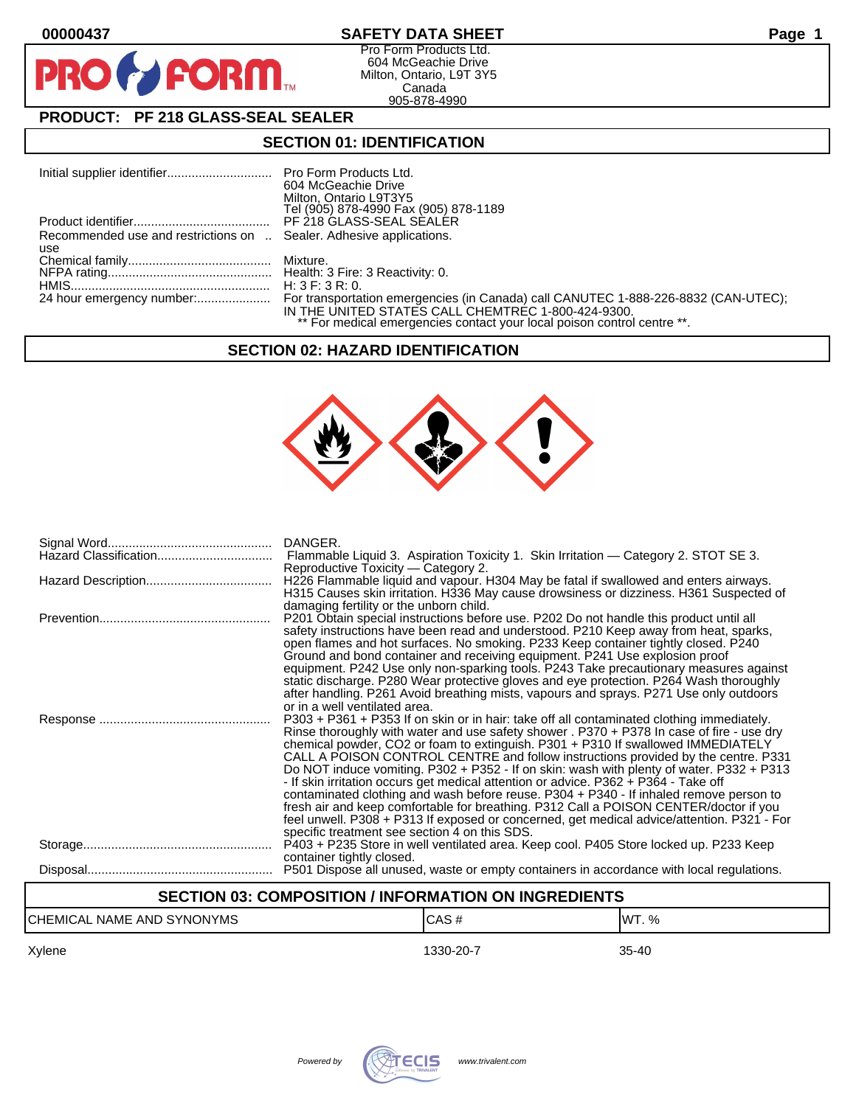D

# **00000437 SAFETY DATA SHEET Page 1**

Pro Form Products Ltd. 604 McGeachie Drive Milton, Ontario, L9T 3Y5 Canada 905-878-4990

# **PRODUCT: PF 218 GLASS-SEAL SEALER**

**FORM** 

# **SECTION 01: IDENTIFICATION**

|                                                                     | 604 McGeachie Drive                                                     |
|---------------------------------------------------------------------|-------------------------------------------------------------------------|
|                                                                     | Milton, Ontario L9T3Y5                                                  |
|                                                                     | Tel (905) 878-4990 Fax (905) 878-1189                                   |
|                                                                     | PF 218 GLASS-SEAL SEALER                                                |
| Recommended use and restrictions on  Sealer. Adhesive applications. |                                                                         |
| use                                                                 |                                                                         |
|                                                                     |                                                                         |
|                                                                     |                                                                         |
|                                                                     |                                                                         |
|                                                                     |                                                                         |
|                                                                     | IN THE UNITED STATES CALL CHEMTREC 1-800-424-9300.                      |
|                                                                     | ** For medical emergencies contact your local poison control centre **. |

#### **SECTION 02: HAZARD IDENTIFICATION**



| DANGER.<br>Flammable Liquid 3. Aspiration Toxicity 1. Skin Irritation — Category 2. STOT SE 3.<br>Reproductive Toxicity — Category 2.<br>H226 Flammable liquid and vapour. H304 May be fatal if swallowed and enters airways.<br>H315 Causes skin irritation. H336 May cause drowsiness or dizziness. H361 Suspected of                                                                                                                                                                                                                                                                                                                                                                                                                                                                                                             |
|-------------------------------------------------------------------------------------------------------------------------------------------------------------------------------------------------------------------------------------------------------------------------------------------------------------------------------------------------------------------------------------------------------------------------------------------------------------------------------------------------------------------------------------------------------------------------------------------------------------------------------------------------------------------------------------------------------------------------------------------------------------------------------------------------------------------------------------|
| damaging fertility or the unborn child.<br>P201 Obtain special instructions before use. P202 Do not handle this product until all<br>safety instructions have been read and understood. P210 Keep away from heat, sparks,<br>open flames and hot surfaces. No smoking. P233 Keep container tightly closed. P240<br>Ground and bond container and receiving equipment. P241 Use explosion proof                                                                                                                                                                                                                                                                                                                                                                                                                                      |
| equipment. P242 Use only non-sparking tools. P243 Take precautionary measures against<br>static discharge. P280 Wear protective gloves and eye protection. P264 Wash thoroughly<br>after handling. P261 Avoid breathing mists, vapours and sprays. P271 Use only outdoors<br>or in a well ventilated area.                                                                                                                                                                                                                                                                                                                                                                                                                                                                                                                          |
| P303 + P361 + P353 If on skin or in hair: take off all contaminated clothing immediately.<br>Rinse thoroughly with water and use safety shower . P370 + P378 In case of fire - use dry<br>chemical powder, CO2 or foam to extinguish. P301 + P310 If swallowed IMMEDIATELY<br>CALL A POISON CONTROL CENTRE and follow instructions provided by the centre. P331<br>Do NOT induce vomiting. P302 + P352 - If on skin: wash with plenty of water. P332 + P313<br>- If skin irritation occurs get medical attention or advice. P362 + P364 - Take off<br>contaminated clothing and wash before reuse. P304 + P340 - If inhaled remove person to<br>fresh air and keep comfortable for breathing. P312 Call a POISON CENTER/doctor if you<br>feel unwell. P308 + P313 If exposed or concerned, get medical advice/attention. P321 - For |
| specific treatment see section 4 on this SDS.<br>P403 + P235 Store in well ventilated area. Keep cool. P405 Store locked up. P233 Keep<br>container tightly closed.                                                                                                                                                                                                                                                                                                                                                                                                                                                                                                                                                                                                                                                                 |
| P501 Dispose all unused, waste or empty containers in accordance with local regulations.                                                                                                                                                                                                                                                                                                                                                                                                                                                                                                                                                                                                                                                                                                                                            |

# **SECTION 03: COMPOSITION / INFORMATION ON INGREDIENTS**

| ICHEMICAL<br><b>SYNONYMS</b><br><b>AND</b><br><b>NAME</b> | л.<br>. JA -<br>$\sim$ | $\%$<br>IM. |
|-----------------------------------------------------------|------------------------|-------------|
|-----------------------------------------------------------|------------------------|-------------|

Xylene 1330-20-7 35-40

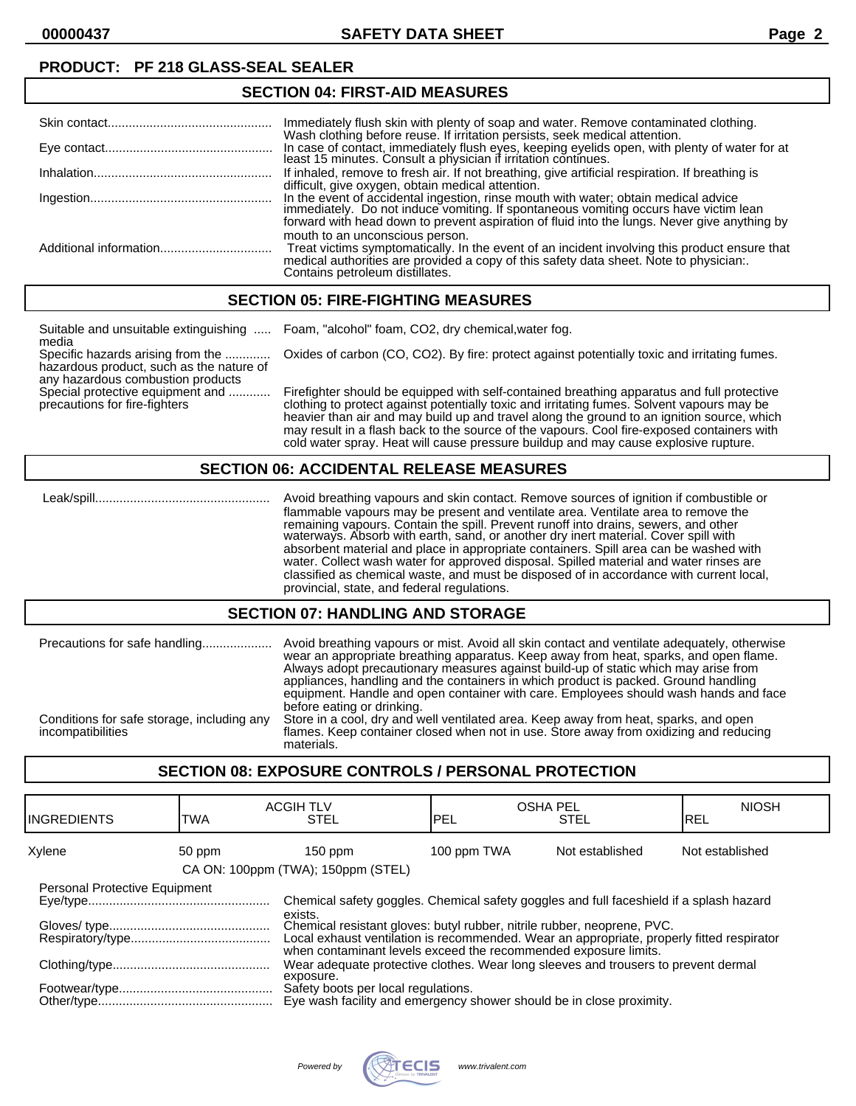# **PRODUCT: PF 218 GLASS-SEAL SEALER**

| Immediately flush skin with plenty of soap and water. Remove contaminated clothing.                                                                                                                                                                                      |
|--------------------------------------------------------------------------------------------------------------------------------------------------------------------------------------------------------------------------------------------------------------------------|
| Wash clothing before reuse. If irritation persists, seek medical attention.<br>In case of contact, immediately flush eyes, keeping eyelids open, with plenty of water for at least 15 minutes. Consult a physician if irritation continues.                              |
| If inhaled, remove to fresh air. If not breathing, give artificial respiration. If breathing is<br>difficult, give oxygen, obtain medical attention.                                                                                                                     |
| In the event of accidental ingestion, rinse mouth with water; obtain medical advice immediately. Do not induce vomiting. If spontaneous vomiting occurs have victim lean<br>forward with head down to prevent aspiration of fluid into the lungs. Never give anything by |
| mouth to an unconscious person.<br>Treat victims symptomatically. In the event of an incident involving this product ensure that<br>medical authorities are provided a copy of this safety data sheet. Note to physician:.<br>Contains petroleum distillates.            |

# **SECTION 05: FIRE-FIGHTING MEASURES**

**SECTION 04: FIRST-AID MEASURES**

| Suitable and unsuitable extinguishing<br>media                                                                     | Foam, "alcohol" foam, CO2, dry chemical, water fog.                                                                                                                                                                                                                                                                                                                                  |
|--------------------------------------------------------------------------------------------------------------------|--------------------------------------------------------------------------------------------------------------------------------------------------------------------------------------------------------------------------------------------------------------------------------------------------------------------------------------------------------------------------------------|
| Specific hazards arising from the<br>hazardous product, such as the nature of<br>any hazardous combustion products | Oxides of carbon (CO, CO2). By fire: protect against potentially toxic and irritating fumes.                                                                                                                                                                                                                                                                                         |
| Special protective equipment and<br>precautions for fire-fighters                                                  | Firefighter should be equipped with self-contained breathing apparatus and full protective<br>clothing to protect against potentially toxic and irritating fumes. Solvent vapours may be<br>heavier than air and may build up and travel along the ground to an ignition source, which<br>may result in a flash back to the source of the vapours. Cool fire-exposed containers with |

#### **SECTION 06: ACCIDENTAL RELEASE MEASURES**

 Leak/spill.................................................. Avoid breathing vapours and skin contact. Remove sources of ignition if combustible or flammable vapours may be present and ventilate area. Ventilate area to remove the remaining vapours. Contain the spill. Prevent runoff into drains, sewers, and other waterways. Absorb with earth, sand, or another dry inert material. Cover spill with absorbent material and place in appropriate containers. Spill area can be washed with water. Collect wash water for approved disposal. Spilled material and water rinses are classified as chemical waste, and must be disposed of in accordance with current local, provincial, state, and federal regulations.

cold water spray. Heat will cause pressure buildup and may cause explosive rupture.

#### **SECTION 07: HANDLING AND STORAGE**

| Precautions for safe handling                                   | Avoid breathing vapours or mist. Avoid all skin contact and ventilate adequately, otherwise<br>wear an appropriate breathing apparatus. Keep away from heat, sparks, and open flame.<br>Always adopt precautionary measures against build-up of static which may arise from<br>appliances, handling and the containers in which product is packed. Ground handling<br>equipment. Handle and open container with care. Employees should wash hands and face<br>before eating or drinking. |
|-----------------------------------------------------------------|------------------------------------------------------------------------------------------------------------------------------------------------------------------------------------------------------------------------------------------------------------------------------------------------------------------------------------------------------------------------------------------------------------------------------------------------------------------------------------------|
| Conditions for safe storage, including any<br>incompatibilities | Store in a cool, dry and well ventilated area. Keep away from heat, sparks, and open<br>flames. Keep container closed when not in use. Store away from oxidizing and reducing<br>materials.                                                                                                                                                                                                                                                                                              |

#### **SECTION 08: EXPOSURE CONTROLS / PERSONAL PROTECTION**

| <b>IINGREDIENTS</b>           | TWA    | <b>ACGIH TLV</b><br><b>STEL</b>                                                                                                                                                                                                                                                                                                               | <b>OSHA PEL</b><br>IPEL | <b>STEL</b>     | <b>NIOSH</b><br>IREL |
|-------------------------------|--------|-----------------------------------------------------------------------------------------------------------------------------------------------------------------------------------------------------------------------------------------------------------------------------------------------------------------------------------------------|-------------------------|-----------------|----------------------|
| Xylene                        | 50 ppm | $150$ ppm<br>CA ON: 100ppm (TWA); 150ppm (STEL)                                                                                                                                                                                                                                                                                               | 100 ppm TWA             | Not established | Not established      |
| Personal Protective Equipment |        | Chemical safety goggles. Chemical safety goggles and full faceshield if a splash hazard<br>exists.<br>Chemical resistant gloves: butyl rubber, nitrile rubber, neoprene, PVC.<br>Local exhaust ventilation is recommended. Wear an appropriate, properly fitted respirator<br>when contaminant levels exceed the recommended exposure limits. |                         |                 |                      |
|                               |        | Wear adequate protective clothes. Wear long sleeves and trousers to prevent dermal<br>exposure.<br>Safety boots per local regulations.<br>Eye wash facility and emergency shower should be in close proximity.                                                                                                                                |                         |                 |                      |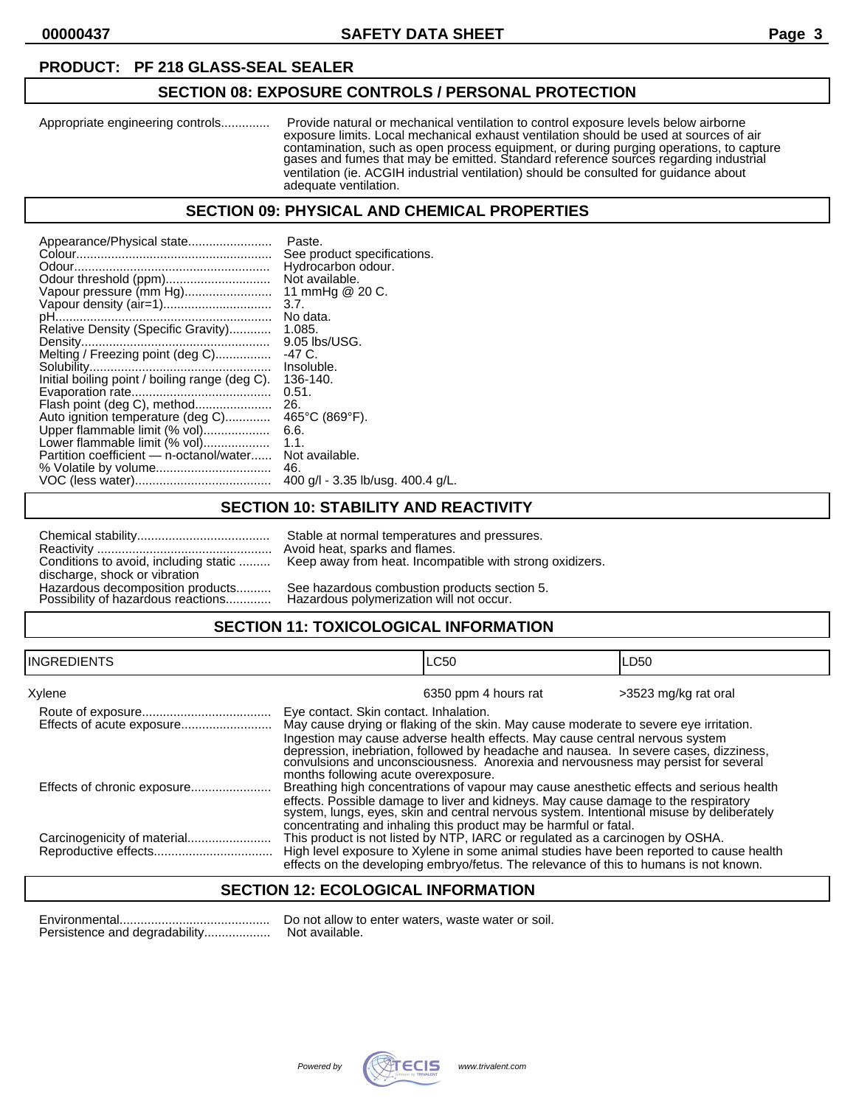#### **PRODUCT: PF 218 GLASS-SEAL SEALER**

### **SECTION 08: EXPOSURE CONTROLS / PERSONAL PROTECTION**

Appropriate engineering controls.............. Provide natural or mechanical ventilation to control exposure levels below airborne exposure limits. Local mechanical exhaust ventilation should be used at sources of air contamination, such as open process equipment, or during purging operations, to capture gases and fumes that may be emitted. Standard reference sources regarding industrial ventilation (ie. ACGIH industrial ventilation) should be consulted for guidance about adequate ventilation.

#### **SECTION 09: PHYSICAL AND CHEMICAL PROPERTIES**

| Appearance/Physical state                      | Paste.                            |
|------------------------------------------------|-----------------------------------|
|                                                | See product specifications.       |
|                                                | Hydrocarbon odour.                |
|                                                | Not available.                    |
| Vapour pressure (mm Hg)                        | 11 mmHg @ 20 C.                   |
| Vapour density (air=1)                         | 3.7.                              |
|                                                | No data.                          |
| Relative Density (Specific Gravity)            | 1.085.                            |
|                                                | 9.05 lbs/USG.                     |
| Melting / Freezing point (deg C)               | -47 C.                            |
|                                                | Insoluble.                        |
| Initial boiling point / boiling range (deg C). | 136-140.                          |
|                                                | 0.51.                             |
| Flash point (deg C), method                    | 26.                               |
| Auto ignition temperature (deg C)              | 465°C (869°F).                    |
| Upper flammable limit (% vol)                  | 6.6.                              |
| Lower flammable limit (% vol)                  | 1.1.                              |
| Partition coefficient - n-octanol/water        | Not available.                    |
|                                                | 46.                               |
|                                                | 400 g/l - 3.35 lb/usg. 400.4 g/L. |

#### **SECTION 10: STABILITY AND REACTIVITY**

| Conditions to avoid, including static                                  |  |
|------------------------------------------------------------------------|--|
| discharge, shock or vibration                                          |  |
| Hazardous decomposition products<br>Possibility of hazardous reactions |  |
|                                                                        |  |

Stable at normal temperatures and pressures. Avoid heat, sparks and flames. Keep away from heat. Incompatible with strong oxidizers.

See hazardous combustion products section 5. Hazardous polymerization will not occur.

# **SECTION 11: TOXICOLOGICAL INFORMATION**

| INGREDIENTS                 |                                                                                | LC50                                                                                                                                                                                                                                                                                                                                                | LD <sub>50</sub>     |
|-----------------------------|--------------------------------------------------------------------------------|-----------------------------------------------------------------------------------------------------------------------------------------------------------------------------------------------------------------------------------------------------------------------------------------------------------------------------------------------------|----------------------|
| Xylene                      |                                                                                | 6350 ppm 4 hours rat                                                                                                                                                                                                                                                                                                                                | >3523 mg/kg rat oral |
|                             | Eye contact. Skin contact. Inhalation.<br>months following acute overexposure. | May cause drying or flaking of the skin. May cause moderate to severe eye irritation.<br>Ingestion may cause adverse health effects. May cause central nervous system<br>depression, inebriation, followed by headache and nausea. In severe cases, dizziness,<br>convulsions and unconsciousness. Anorexia and nervousness may persist for several |                      |
| Effects of chronic exposure |                                                                                | Breathing high concentrations of vapour may cause anesthetic effects and serious health<br>effects. Possible damage to liver and kidneys. May cause damage to the respiratory<br>system, lungs, eyes, skin and central nervous system. Intentional misuse by deliberately<br>concentrating and inhaling this product may be harmful or fatal.       |                      |
|                             |                                                                                | This product is not listed by NTP, IARC or regulated as a carcinogen by OSHA.<br>High level exposure to Xylene in some animal studies have been reported to cause health<br>effects on the developing embryo/fetus. The relevance of this to humans is not known.                                                                                   |                      |

# **SECTION 12: ECOLOGICAL INFORMATION**

Environmental........................................... Do not allow to enter waters, waste water or soil. Persistence and degradability........................ Not available.